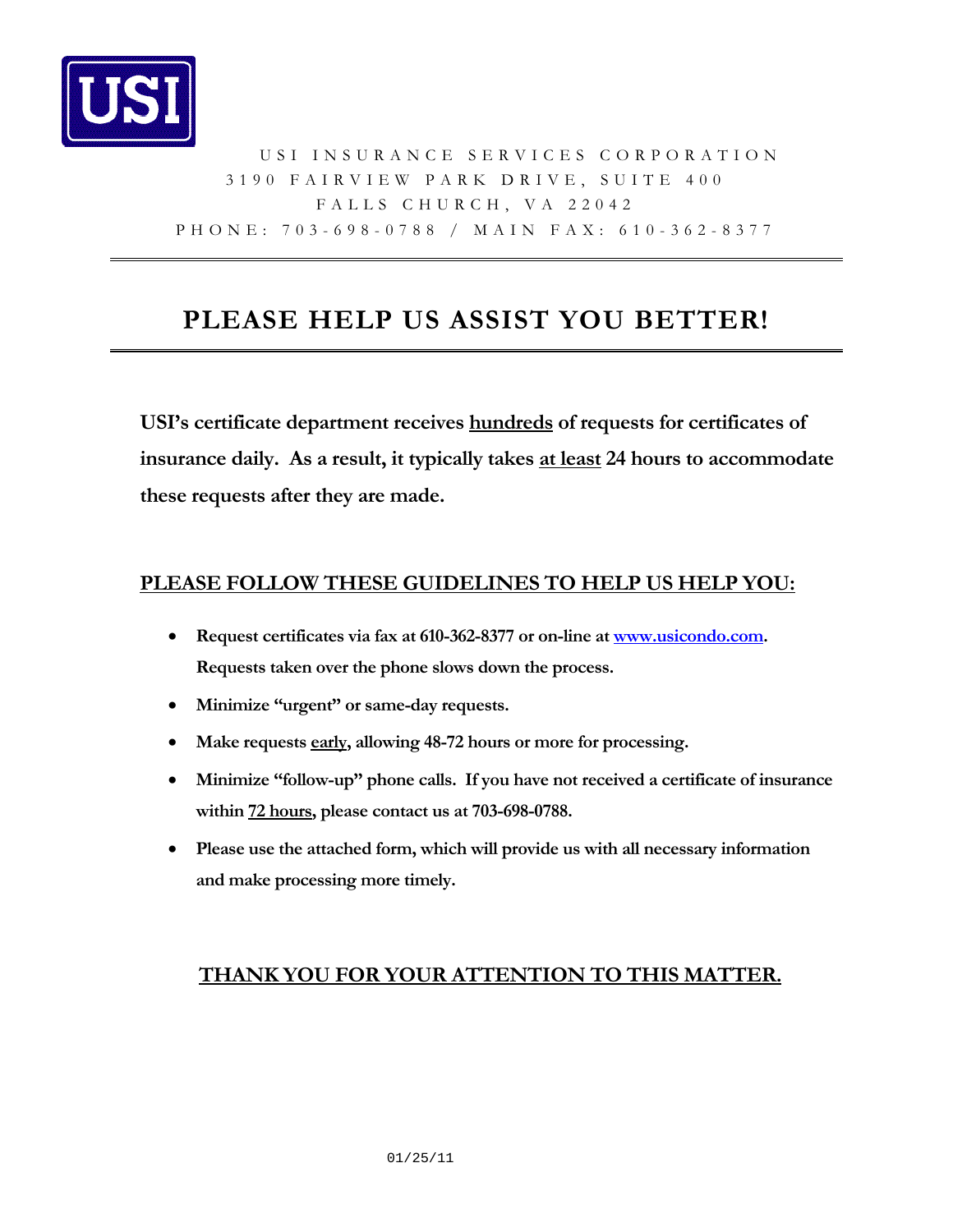

### USI INSURANCE SERVICES CORPORATION 3190 FAIRVIEW PARK DRIVE, SUITE 400 FALLS CHURCH, VA 22042 PHONE: 703-698-0788 / MAIN FAX: 610-362-8377

## **PLEASE HELP US ASSIST YOU BETTER!**

**USI's certificate department receives hundreds of requests for certificates of insurance daily. As a result, it typically takes at least 24 hours to accommodate these requests after they are made.** 

#### **PLEASE FOLLOW THESE GUIDELINES TO HELP US HELP YOU:**

- **Request certificates via fax at 610-362-8377 or on-line at [www.usicondo.com.](http://www.usicondo.com/) Requests taken over the phone slows down the process.**
- **Minimize "urgent" or same-day requests.**
- **Make requests early, allowing 48-72 hours or more for processing.**
- **Minimize "follow-up" phone calls. If you have not received a certificate of insurance within 72 hours, please contact us at 703-698-0788.**
- **Please use the attached form, which will provide us with all necessary information and make processing more timely.**

#### **THANK YOU FOR YOUR ATTENTION TO THIS MATTER.**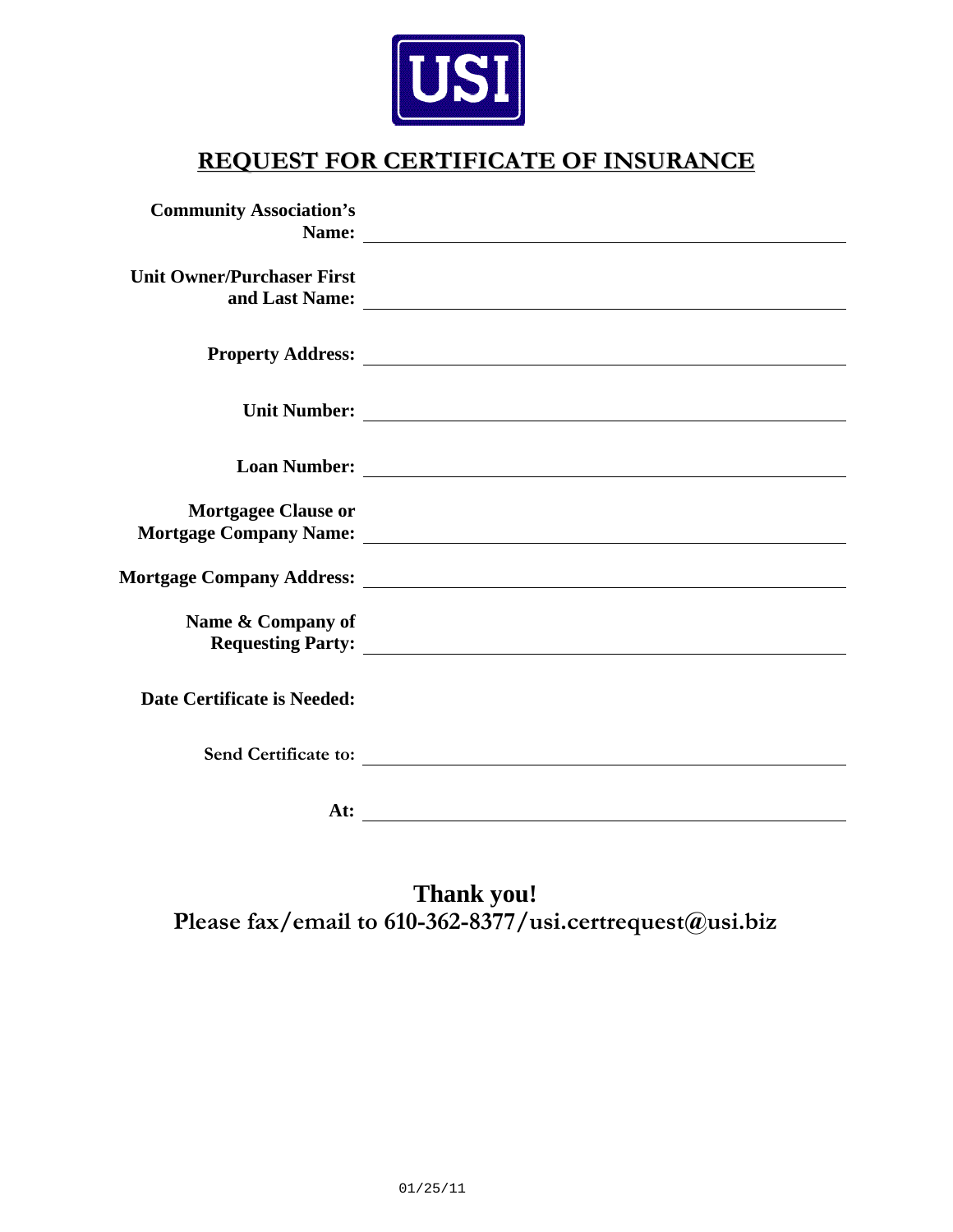

## **REQUEST FOR CERTIFICATE OF INSURANCE**

| <b>Community Association's</b>    |                                                                                                                                                                                                                                      |
|-----------------------------------|--------------------------------------------------------------------------------------------------------------------------------------------------------------------------------------------------------------------------------------|
| <b>Unit Owner/Purchaser First</b> |                                                                                                                                                                                                                                      |
|                                   |                                                                                                                                                                                                                                      |
|                                   |                                                                                                                                                                                                                                      |
|                                   | Loan Number: <u>and the community of the community of the community of the community of the community of the community of the community of the community of the community of the community of the community of the community of </u> |
| <b>Mortgagee Clause or</b>        |                                                                                                                                                                                                                                      |
|                                   |                                                                                                                                                                                                                                      |
| Name & Company of                 |                                                                                                                                                                                                                                      |
| Date Certificate is Needed:       |                                                                                                                                                                                                                                      |
|                                   | Send Certificate to:                                                                                                                                                                                                                 |
| At:                               |                                                                                                                                                                                                                                      |

**Thank you! Please fax/email to 610-362-8377/usi.certrequest@usi.biz**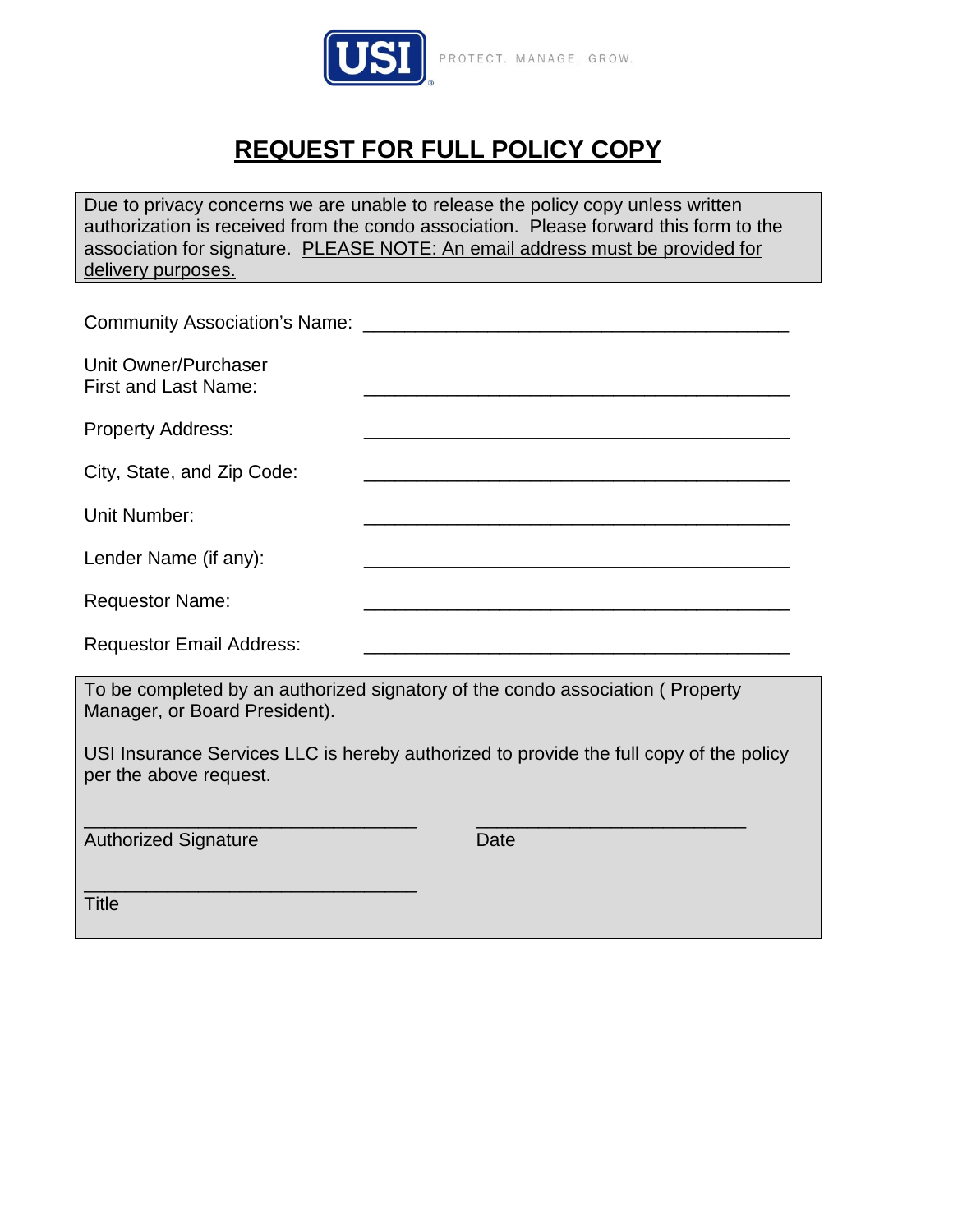

# **REQUEST FOR FULL POLICY COPY**

Due to privacy concerns we are unable to release the policy copy unless written authorization is received from the condo association. Please forward this form to the association for signature. PLEASE NOTE: An email address must be provided for delivery purposes.

| Unit Owner/Purchaser<br><b>First and Last Name:</b>                                                            |                                                                                                                      |  |
|----------------------------------------------------------------------------------------------------------------|----------------------------------------------------------------------------------------------------------------------|--|
| <b>Property Address:</b>                                                                                       | <u> 1989 - Johann Stein, marwolaethau a bhann an t-Amhair ann an t-Amhair an t-Amhair an t-Amhair an t-Amhair an</u> |  |
| City, State, and Zip Code:                                                                                     | <u> 1989 - Jan James James James James James James James James James James James James James James James James J</u> |  |
| <b>Unit Number:</b>                                                                                            |                                                                                                                      |  |
| Lender Name (if any):                                                                                          | <u> 1989 - Andrea Station Andrea Station (1989), actor a control de la control de la control de la control de la</u> |  |
| <b>Requestor Name:</b>                                                                                         |                                                                                                                      |  |
| <b>Requestor Email Address:</b>                                                                                |                                                                                                                      |  |
| To be completed by an authorized signatory of the condo association (Property<br>Manager, or Board President). |                                                                                                                      |  |
| per the above request.                                                                                         | USI Insurance Services LLC is hereby authorized to provide the full copy of the policy                               |  |
| <b>Authorized Signature</b>                                                                                    | Date                                                                                                                 |  |
| <b>Title</b>                                                                                                   |                                                                                                                      |  |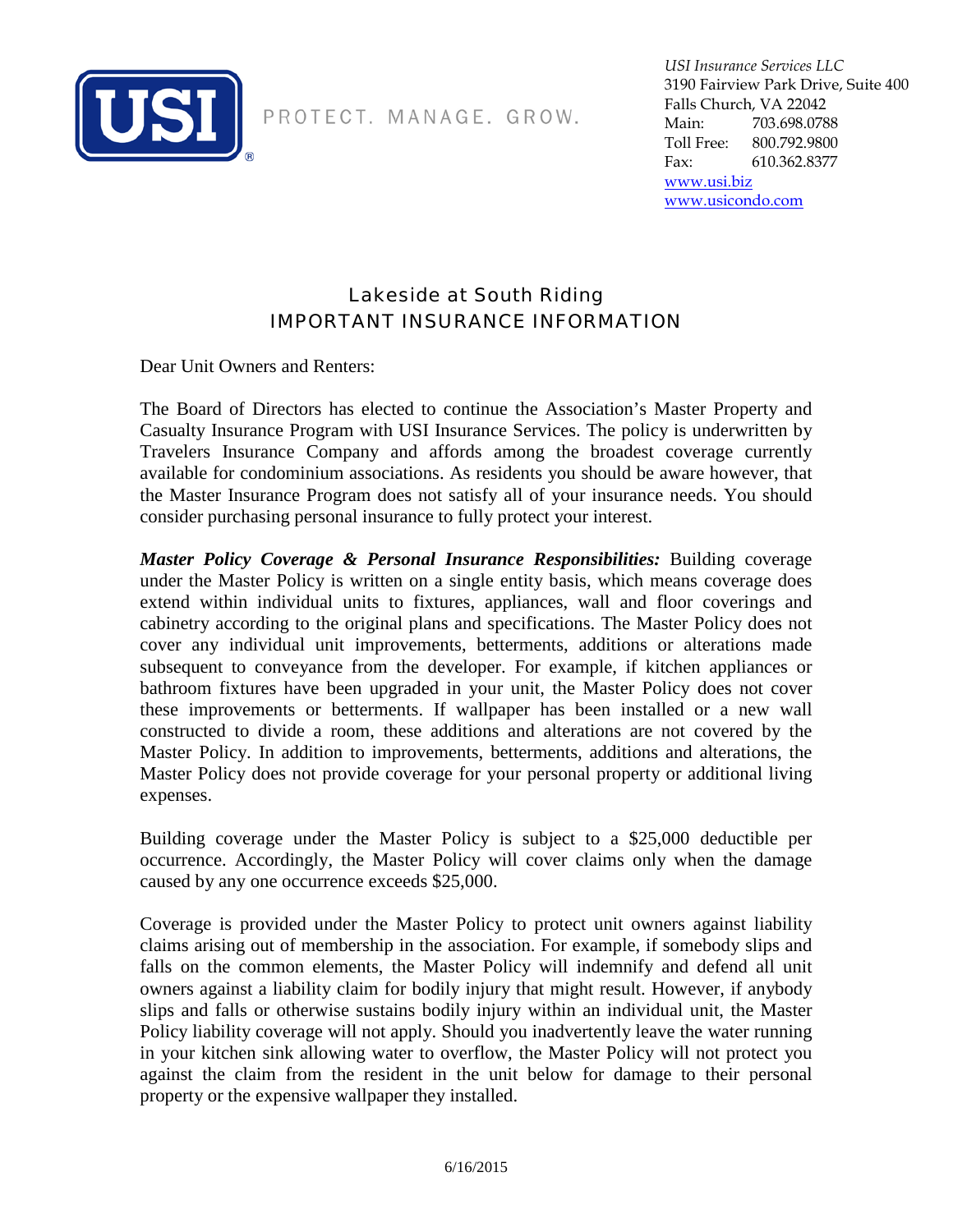

PROTECT. MANAGE. GROW.

*USI Insurance Services LLC* 3190 Fairview Park Drive, Suite 400 Falls Church, VA 22042 Main: 703.698.0788 Toll Free: 800.792.9800 Fax: 610.362.8377

[www.usi.biz](http://www.usi.biz/) [www.usicondo.com](http://www.usicondo.com/) 

### Lakeside at South Riding IMPORTANT INSURANCE INFORMATION

Dear Unit Owners and Renters:

The Board of Directors has elected to continue the Association's Master Property and Casualty Insurance Program with USI Insurance Services. The policy is underwritten by Travelers Insurance Company and affords among the broadest coverage currently available for condominium associations. As residents you should be aware however, that the Master Insurance Program does not satisfy all of your insurance needs. You should consider purchasing personal insurance to fully protect your interest.

*Master Policy Coverage & Personal Insurance Responsibilities:* Building coverage under the Master Policy is written on a single entity basis, which means coverage does extend within individual units to fixtures, appliances, wall and floor coverings and cabinetry according to the original plans and specifications. The Master Policy does not cover any individual unit improvements, betterments, additions or alterations made subsequent to conveyance from the developer. For example, if kitchen appliances or bathroom fixtures have been upgraded in your unit, the Master Policy does not cover these improvements or betterments. If wallpaper has been installed or a new wall constructed to divide a room, these additions and alterations are not covered by the Master Policy. In addition to improvements, betterments, additions and alterations, the Master Policy does not provide coverage for your personal property or additional living expenses.

Building coverage under the Master Policy is subject to a \$25,000 deductible per occurrence. Accordingly, the Master Policy will cover claims only when the damage caused by any one occurrence exceeds \$25,000.

Coverage is provided under the Master Policy to protect unit owners against liability claims arising out of membership in the association. For example, if somebody slips and falls on the common elements, the Master Policy will indemnify and defend all unit owners against a liability claim for bodily injury that might result. However, if anybody slips and falls or otherwise sustains bodily injury within an individual unit, the Master Policy liability coverage will not apply. Should you inadvertently leave the water running in your kitchen sink allowing water to overflow, the Master Policy will not protect you against the claim from the resident in the unit below for damage to their personal property or the expensive wallpaper they installed.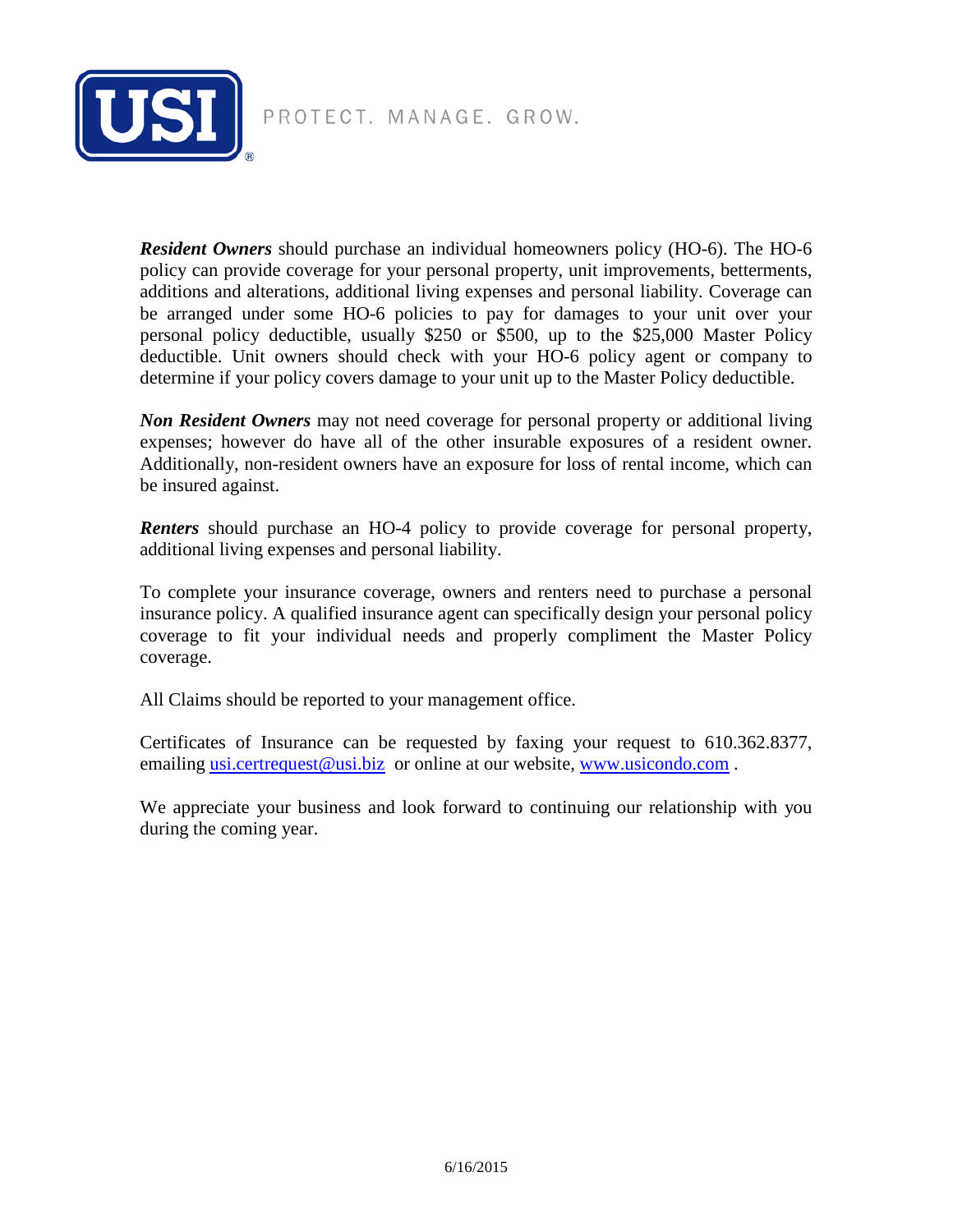

PROTECT. MANAGE. GROW.

*Resident Owners* should purchase an individual homeowners policy (HO-6). The HO-6 policy can provide coverage for your personal property, unit improvements, betterments, additions and alterations, additional living expenses and personal liability. Coverage can be arranged under some HO-6 policies to pay for damages to your unit over your personal policy deductible, usually \$250 or \$500, up to the \$25,000 Master Policy deductible. Unit owners should check with your HO-6 policy agent or company to determine if your policy covers damage to your unit up to the Master Policy deductible.

*Non Resident Owners* may not need coverage for personal property or additional living expenses; however do have all of the other insurable exposures of a resident owner. Additionally, non-resident owners have an exposure for loss of rental income, which can be insured against.

*Renters* should purchase an HO-4 policy to provide coverage for personal property, additional living expenses and personal liability.

To complete your insurance coverage, owners and renters need to purchase a personal insurance policy. A qualified insurance agent can specifically design your personal policy coverage to fit your individual needs and properly compliment the Master Policy coverage.

All Claims should be reported to your management office.

Certificates of Insurance can be requested by faxing your request to 610.362.8377, emailing [usi.certrequest@usi.biz](mailto:usi.certrequest@usi.biz) or online at our website, [www.usicondo.com](http://www.usicondo.com/).

We appreciate your business and look forward to continuing our relationship with you during the coming year.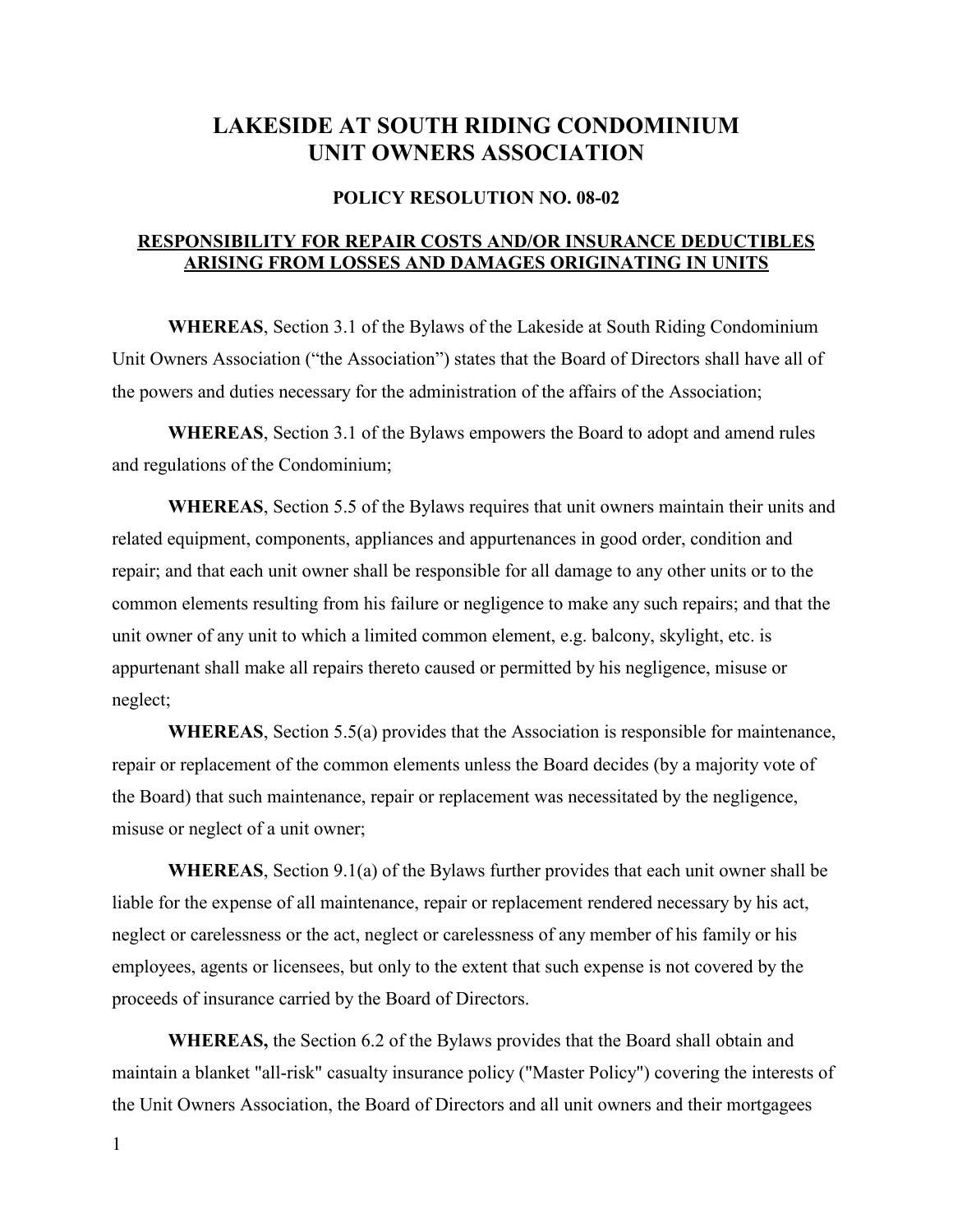## LAKESIDE AT SOUTH RIDING CONDOMINIUM UNIT OWNERS ASSOCIATION

#### POLICY RESOLUTION NO. 08-02

#### RESPONSIBILITY FOR REPAIR COSTS AND/OR INSURANCE DEDUCTIBLES ARISING FROM LOSSES AND DAMAGES ORIGINATING IN UNITS

WHEREAS, Section 3.1 of the Bylaws of the Lakeside at South Riding Condominium Unit Owners Association ("the Association") states that the Board of Directors shall have all of the powers and duties necessary for the administration of the affairs of the Association;

WHEREAS, Section 3.1 of the Bylaws empowers the Board to adopt and amend rules and regulations of the Condominium;

WHEREAS, Section 5.5 of the Bylaws requires that unit owners maintain their units and related equipment, components, appliances and appurtenances in good order, condition and repair; and that each unit owner shall be responsible for all damage to any other units or to the common elements resulting from his failure or negligence to make any such repairs; and that the unit owner of any unit to which a limited common element, e.g. balcony, skylight, etc. is appurtenant shall make all repairs thereto caused or permitted by his negligence, misuse or neglect;

WHEREAS, Section 5.5(a) provides that the Association is responsible for maintenance, repair or replacement of the common elements unless the Board decides (by a majority vote of the Board) that such maintenance, repair or replacement was necessitated by the negligence, misuse or neglect of a unit owner;

WHEREAS, Section 9.1(a) of the Bylaws further provides that each unit owner shall be liable for the expense of all maintenance, repair or replacement rendered necessary by his act, neglect or carelessness or the act, neglect or carelessness of any member of his family or his employees, agents or licensees, but only to the extent that such expense is not covered by the proceeds of insurance carried by the Board of Directors.

WHEREAS, the Section 6.2 of the Bylaws provides that the Board shall obtain and maintain a blanket "all-risk" casualty insurance policy ("Master Policy") covering the interests of the Unit Owners Association, the Board of Directors and all unit owners and their mortgagees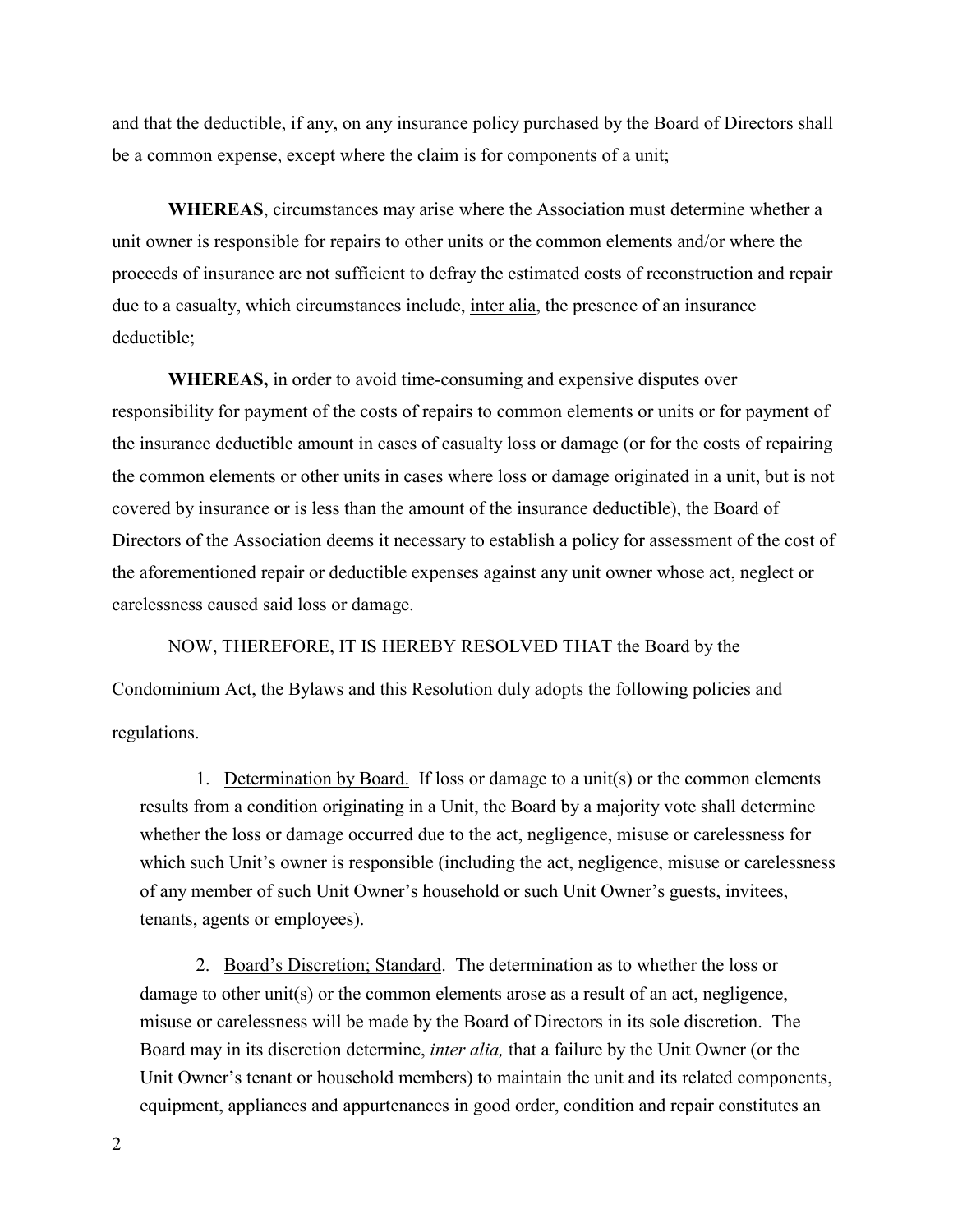and that the deductible, if any, on any insurance policy purchased by the Board of Directors shall be a common expense, except where the claim is for components of a unit;

WHEREAS, circumstances may arise where the Association must determine whether a unit owner is responsible for repairs to other units or the common elements and/or where the proceeds of insurance are not sufficient to defray the estimated costs of reconstruction and repair due to a casualty, which circumstances include, inter alia, the presence of an insurance deductible;

WHEREAS, in order to avoid time-consuming and expensive disputes over responsibility for payment of the costs of repairs to common elements or units or for payment of the insurance deductible amount in cases of casualty loss or damage (or for the costs of repairing the common elements or other units in cases where loss or damage originated in a unit, but is not covered by insurance or is less than the amount of the insurance deductible), the Board of Directors of the Association deems it necessary to establish a policy for assessment of the cost of the aforementioned repair or deductible expenses against any unit owner whose act, neglect or carelessness caused said loss or damage.

NOW, THEREFORE, IT IS HEREBY RESOLVED THAT the Board by the Condominium Act, the Bylaws and this Resolution duly adopts the following policies and regulations.

1. Determination by Board. If loss or damage to a unit(s) or the common elements results from a condition originating in a Unit, the Board by a majority vote shall determine whether the loss or damage occurred due to the act, negligence, misuse or carelessness for which such Unit's owner is responsible (including the act, negligence, misuse or carelessness of any member of such Unit Owner's household or such Unit Owner's guests, invitees, tenants, agents or employees).

2. Board's Discretion; Standard. The determination as to whether the loss or damage to other unit(s) or the common elements arose as a result of an act, negligence, misuse or carelessness will be made by the Board of Directors in its sole discretion. The Board may in its discretion determine, *inter alia*, that a failure by the Unit Owner (or the Unit Owner's tenant or household members) to maintain the unit and its related components, equipment, appliances and appurtenances in good order, condition and repair constitutes an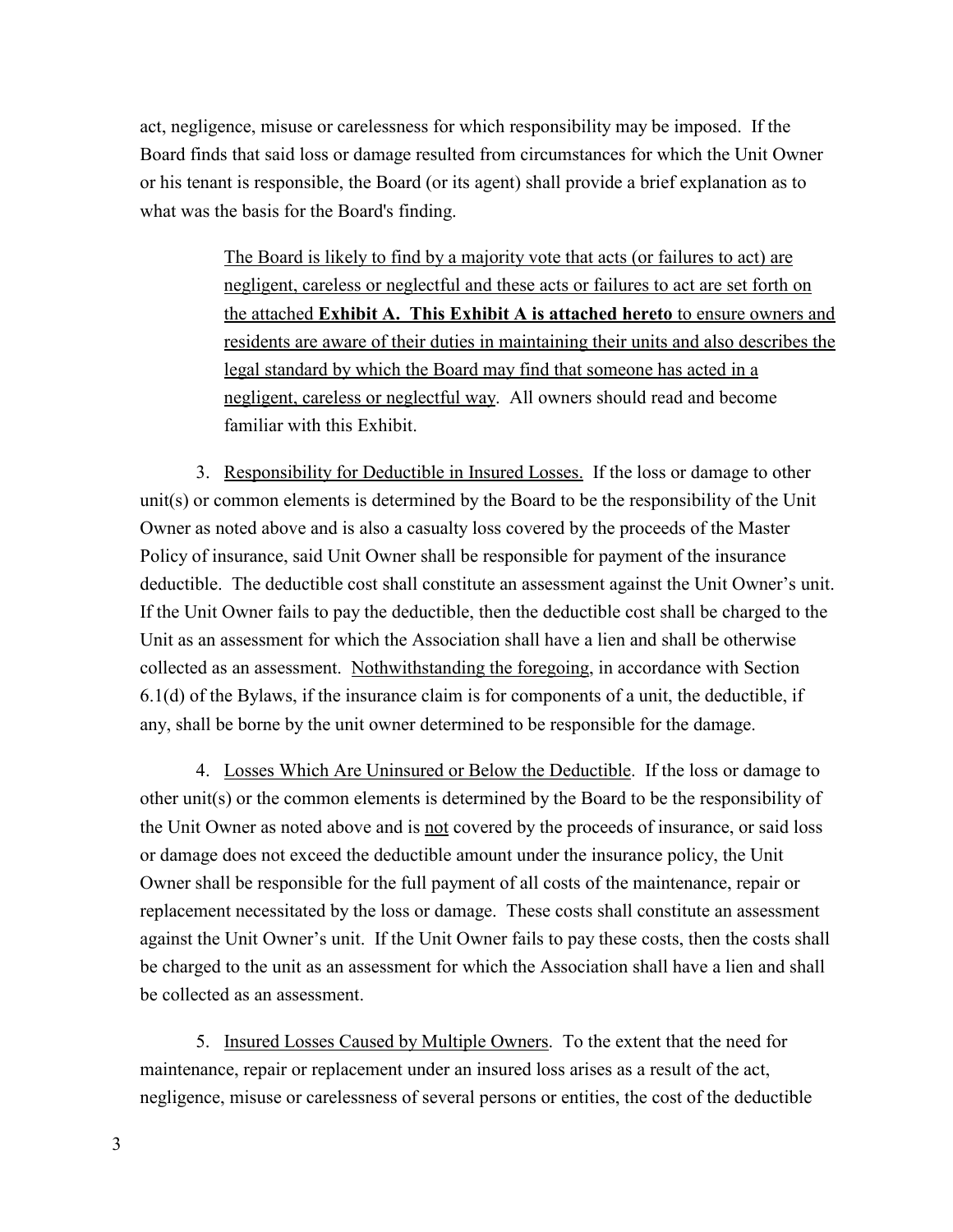act, negligence, misuse or carelessness for which responsibility may be imposed. If the Board finds that said loss or damage resulted from circumstances for which the Unit Owner or his tenant is responsible, the Board (or its agent) shall provide a brief explanation as to what was the basis for the Board's finding.

> The Board is likely to find by a majority vote that acts (or failures to act) are negligent, careless or neglectful and these acts or failures to act are set forth on the attached Exhibit A. This Exhibit A is attached hereto to ensure owners and residents are aware of their duties in maintaining their units and also describes the legal standard by which the Board may find that someone has acted in a negligent, careless or neglectful way. All owners should read and become familiar with this Exhibit.

3. Responsibility for Deductible in Insured Losses. If the loss or damage to other unit(s) or common elements is determined by the Board to be the responsibility of the Unit Owner as noted above and is also a casualty loss covered by the proceeds of the Master Policy of insurance, said Unit Owner shall be responsible for payment of the insurance deductible. The deductible cost shall constitute an assessment against the Unit Owner's unit. If the Unit Owner fails to pay the deductible, then the deductible cost shall be charged to the Unit as an assessment for which the Association shall have a lien and shall be otherwise collected as an assessment. Nothwithstanding the foregoing, in accordance with Section 6.1(d) of the Bylaws, if the insurance claim is for components of a unit, the deductible, if any, shall be borne by the unit owner determined to be responsible for the damage.

4. Losses Which Are Uninsured or Below the Deductible. If the loss or damage to other unit(s) or the common elements is determined by the Board to be the responsibility of the Unit Owner as noted above and is not covered by the proceeds of insurance, or said loss or damage does not exceed the deductible amount under the insurance policy, the Unit Owner shall be responsible for the full payment of all costs of the maintenance, repair or replacement necessitated by the loss or damage. These costs shall constitute an assessment against the Unit Owner's unit. If the Unit Owner fails to pay these costs, then the costs shall be charged to the unit as an assessment for which the Association shall have a lien and shall be collected as an assessment.

5. Insured Losses Caused by Multiple Owners. To the extent that the need for maintenance, repair or replacement under an insured loss arises as a result of the act, negligence, misuse or carelessness of several persons or entities, the cost of the deductible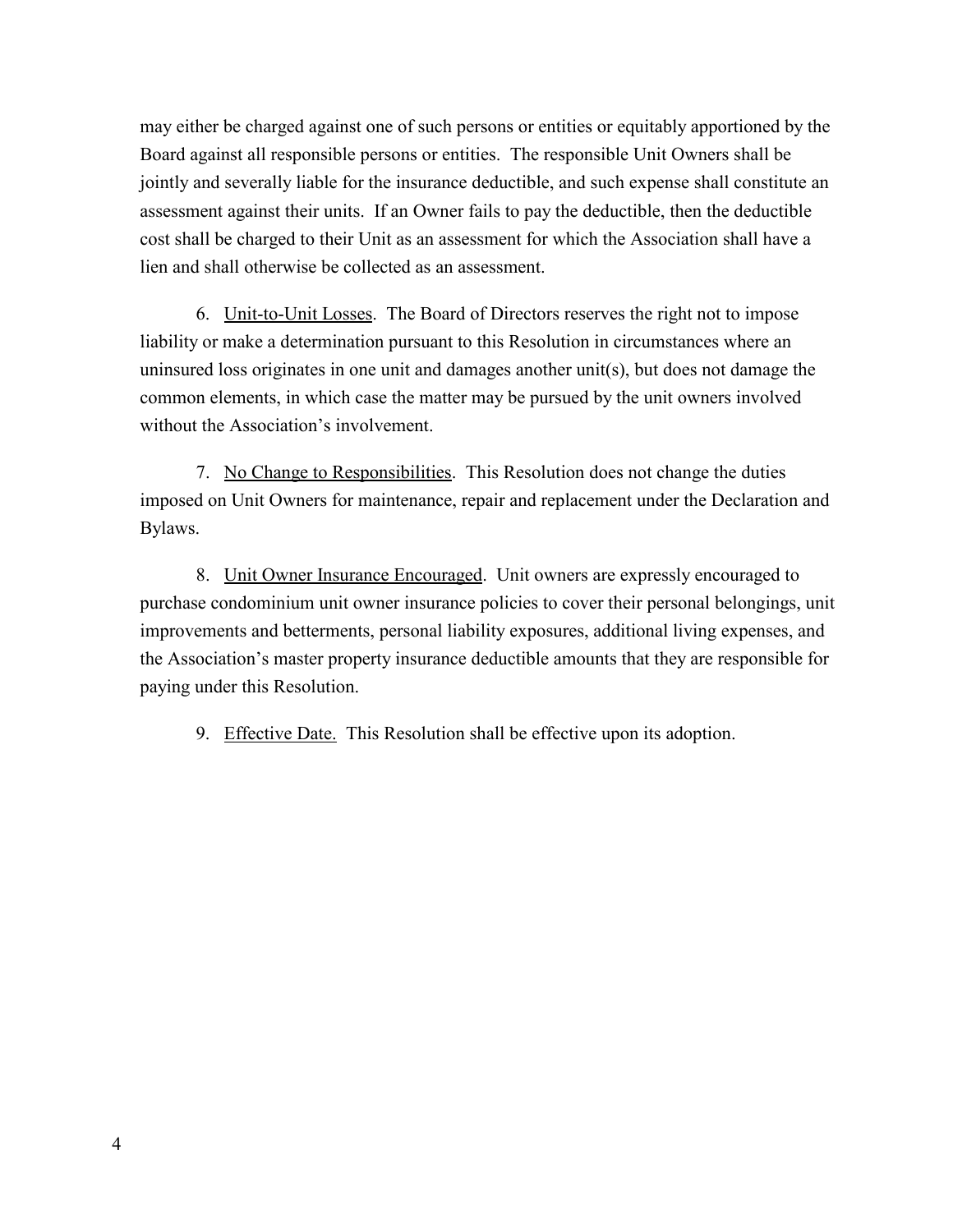may either be charged against one of such persons or entities or equitably apportioned by the Board against all responsible persons or entities. The responsible Unit Owners shall be jointly and severally liable for the insurance deductible, and such expense shall constitute an assessment against their units. If an Owner fails to pay the deductible, then the deductible cost shall be charged to their Unit as an assessment for which the Association shall have a lien and shall otherwise be collected as an assessment.

6. Unit-to-Unit Losses. The Board of Directors reserves the right not to impose liability or make a determination pursuant to this Resolution in circumstances where an uninsured loss originates in one unit and damages another unit(s), but does not damage the common elements, in which case the matter may be pursued by the unit owners involved without the Association's involvement.

7. No Change to Responsibilities. This Resolution does not change the duties imposed on Unit Owners for maintenance, repair and replacement under the Declaration and Bylaws.

8. Unit Owner Insurance Encouraged. Unit owners are expressly encouraged to purchase condominium unit owner insurance policies to cover their personal belongings, unit improvements and betterments, personal liability exposures, additional living expenses, and the Association's master property insurance deductible amounts that they are responsible for paying under this Resolution.

9. Effective Date. This Resolution shall be effective upon its adoption.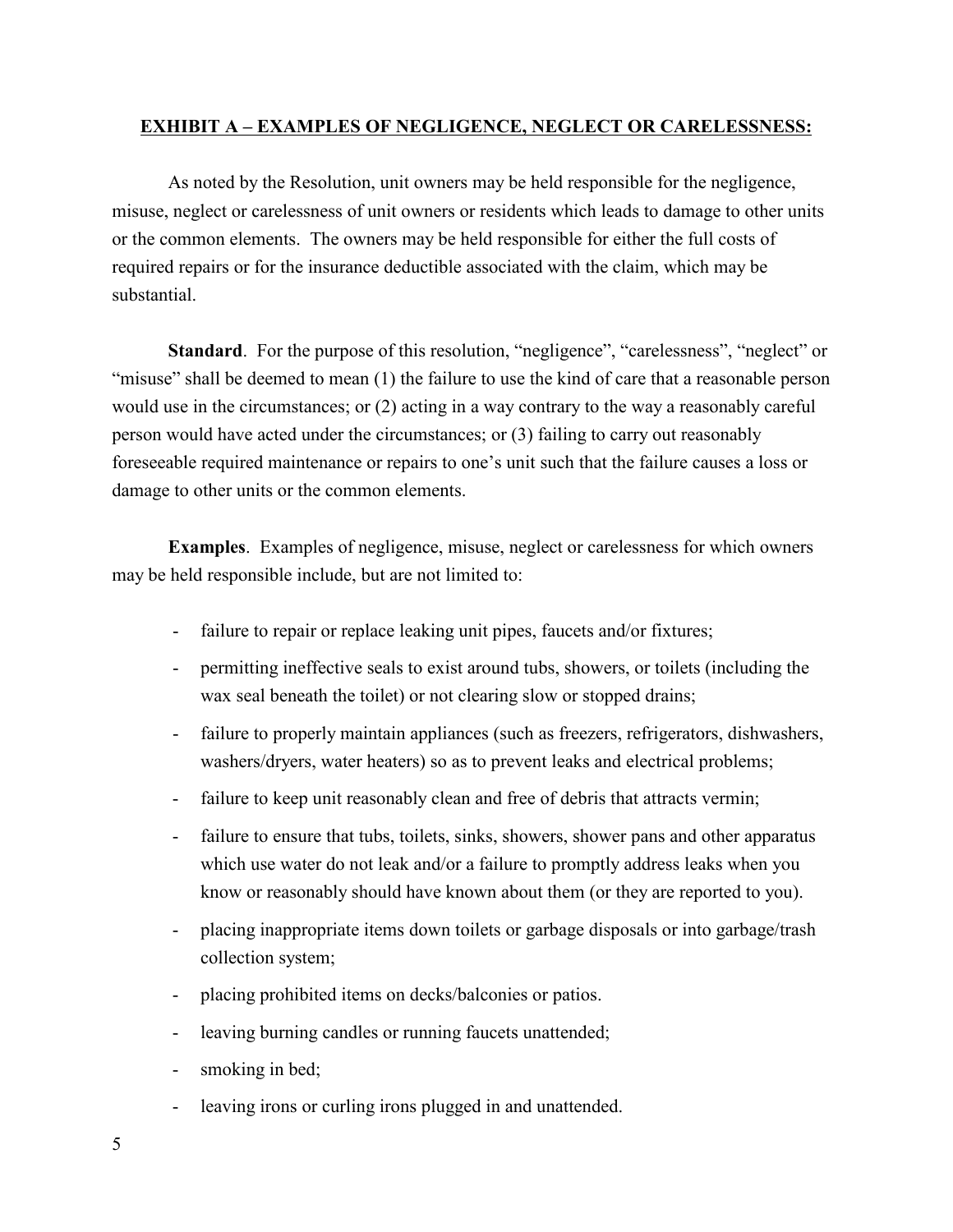#### EXHIBIT A – EXAMPLES OF NEGLIGENCE, NEGLECT OR CARELESSNESS:

As noted by the Resolution, unit owners may be held responsible for the negligence, misuse, neglect or carelessness of unit owners or residents which leads to damage to other units or the common elements. The owners may be held responsible for either the full costs of required repairs or for the insurance deductible associated with the claim, which may be substantial.

Standard. For the purpose of this resolution, "negligence", "carelessness", "neglect" or "misuse" shall be deemed to mean (1) the failure to use the kind of care that a reasonable person would use in the circumstances; or (2) acting in a way contrary to the way a reasonably careful person would have acted under the circumstances; or (3) failing to carry out reasonably foreseeable required maintenance or repairs to one's unit such that the failure causes a loss or damage to other units or the common elements.

Examples. Examples of negligence, misuse, neglect or carelessness for which owners may be held responsible include, but are not limited to:

- failure to repair or replace leaking unit pipes, faucets and/or fixtures;
- permitting ineffective seals to exist around tubs, showers, or toilets (including the wax seal beneath the toilet) or not clearing slow or stopped drains;
- failure to properly maintain appliances (such as freezers, refrigerators, dishwashers, washers/dryers, water heaters) so as to prevent leaks and electrical problems;
- failure to keep unit reasonably clean and free of debris that attracts vermin;
- failure to ensure that tubs, toilets, sinks, showers, shower pans and other apparatus which use water do not leak and/or a failure to promptly address leaks when you know or reasonably should have known about them (or they are reported to you).
- placing inappropriate items down toilets or garbage disposals or into garbage/trash collection system;
- placing prohibited items on decks/balconies or patios.
- leaving burning candles or running faucets unattended;
- smoking in bed;
- leaving irons or curling irons plugged in and unattended.